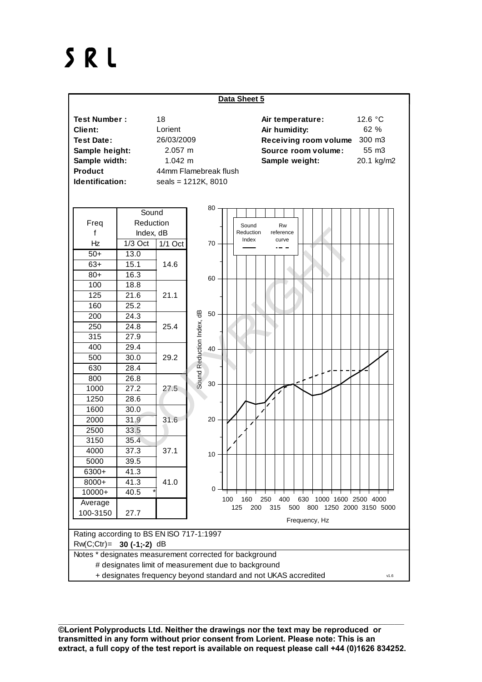## SRL



\_\_\_\_\_\_\_\_\_\_\_\_\_\_\_\_\_\_\_\_\_\_\_\_\_\_\_\_\_\_\_\_\_\_\_\_\_\_\_\_\_\_\_\_\_\_\_\_\_\_\_\_\_\_\_\_\_\_\_\_\_\_\_\_\_\_\_\_\_\_\_\_\_\_\_\_\_\_\_\_\_\_\_\_\_\_\_\_\_\_\_\_\_\_\_\_\_\_\_\_\_\_\_\_\_\_\_ **©Lorient Polyproducts Ltd. Neither the drawings nor the text may be reproduced or transmitted in any form without prior consent from Lorient. Please note: This is an extract, a full copy of the test report is available on request please call +44 (0)1626 834252.**